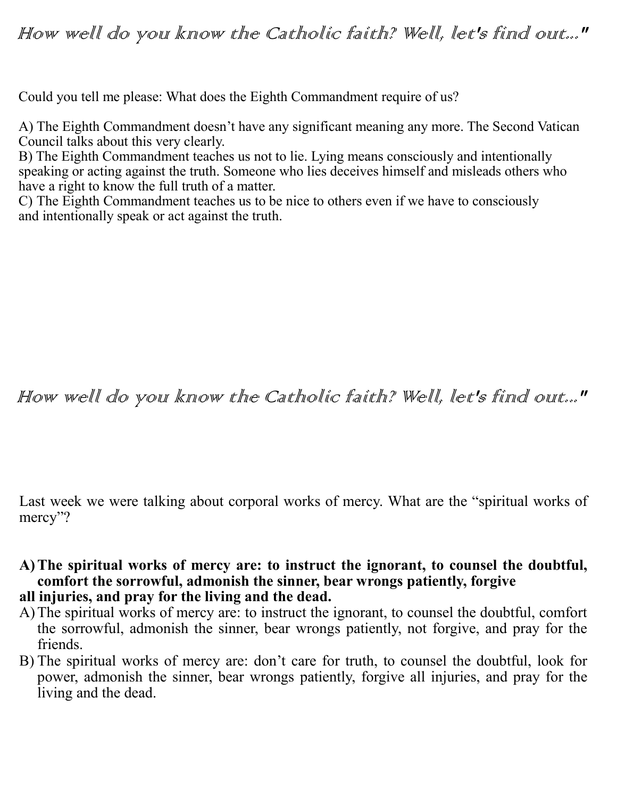## How well do you know the Catholic faith? Well, let's find out..."

Could you tell me please: What does the Eighth Commandment require of us?

A) The Eighth Commandment doesn't have any significant meaning any more. The Second Vatican Council talks about this very clearly.

B) The Eighth Commandment teaches us not to lie. Lying means consciously and intentionally speaking or acting against the truth. Someone who lies deceives himself and misleads others who have a right to know the full truth of a matter.

C) The Eighth Commandment teaches us to be nice to others even if we have to consciously and intentionally speak or act against the truth.

## How well do you know the Catholic faith? Well, let's find out..."

Last week we were talking about corporal works of mercy. What are the "spiritual works of mercy"?

- **A)The spiritual works of mercy are: to instruct the ignorant, to counsel the doubtful, comfort the sorrowful, admonish the sinner, bear wrongs patiently, forgive**
- **all injuries, and pray for the living and the dead.**
- A)The spiritual works of mercy are: to instruct the ignorant, to counsel the doubtful, comfort the sorrowful, admonish the sinner, bear wrongs patiently, not forgive, and pray for the friends.
- B) The spiritual works of mercy are: don't care for truth, to counsel the doubtful, look for power, admonish the sinner, bear wrongs patiently, forgive all injuries, and pray for the living and the dead.